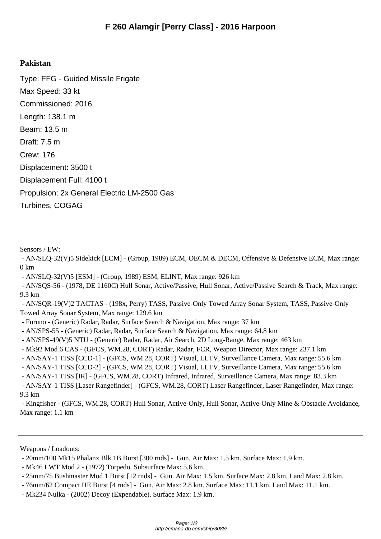## **Pakistan**

Type: FFG - Guided Missile Frigate Max Speed: 33 kt Commissioned: 2016 Length: 138.1 m Beam: 13.5 m Draft: 7.5 m Crew: 176 Displacement: 3500 t Displacement Full: 4100 t Propulsion: 2x General Electric LM-2500 Gas Turbines, COGAG

Sensors / EW:

 - AN/SLQ-32(V)5 Sidekick [ECM] - (Group, 1989) ECM, OECM & DECM, Offensive & Defensive ECM, Max range:  $0 \text{ km}$ 

- AN/SLQ-32(V)5 [ESM] - (Group, 1989) ESM, ELINT, Max range: 926 km

 - AN/SQS-56 - (1978, DE 1160C) Hull Sonar, Active/Passive, Hull Sonar, Active/Passive Search & Track, Max range: 9.3 km

 - AN/SQR-19(V)2 TACTAS - (198x, Perry) TASS, Passive-Only Towed Array Sonar System, TASS, Passive-Only Towed Array Sonar System, Max range: 129.6 km

- Furuno (Generic) Radar, Radar, Surface Search & Navigation, Max range: 37 km
- AN/SPS-55 (Generic) Radar, Radar, Surface Search & Navigation, Max range: 64.8 km
- AN/SPS-49(V)5 NTU (Generic) Radar, Radar, Air Search, 2D Long-Range, Max range: 463 km
- Mk92 Mod 6 CAS (GFCS, WM.28, CORT) Radar, Radar, FCR, Weapon Director, Max range: 237.1 km
- AN/SAY-1 TISS [CCD-1] (GFCS, WM.28, CORT) Visual, LLTV, Surveillance Camera, Max range: 55.6 km
- AN/SAY-1 TISS [CCD-2] (GFCS, WM.28, CORT) Visual, LLTV, Surveillance Camera, Max range: 55.6 km
- AN/SAY-1 TISS [IR] (GFCS, WM.28, CORT) Infrared, Infrared, Surveillance Camera, Max range: 83.3 km

 - AN/SAY-1 TISS [Laser Rangefinder] - (GFCS, WM.28, CORT) Laser Rangefinder, Laser Rangefinder, Max range: 9.3 km

 - Kingfisher - (GFCS, WM.28, CORT) Hull Sonar, Active-Only, Hull Sonar, Active-Only Mine & Obstacle Avoidance, Max range: 1.1 km

Weapons / Loadouts:

- 76mm/62 Compact HE Burst [4 rnds] - Gun. Air Max: 2.8 km. Surface Max: 11.1 km. Land Max: 11.1 km.

 <sup>- 20</sup>mm/100 Mk15 Phalanx Blk 1B Burst [300 rnds] - Gun. Air Max: 1.5 km. Surface Max: 1.9 km.

 <sup>-</sup> Mk46 LWT Mod 2 - (1972) Torpedo. Subsurface Max: 5.6 km.

 <sup>- 25</sup>mm/75 Bushmaster Mod 1 Burst [12 rnds] - Gun. Air Max: 1.5 km. Surface Max: 2.8 km. Land Max: 2.8 km.

 <sup>-</sup> Mk234 Nulka - (2002) Decoy (Expendable). Surface Max: 1.9 km.